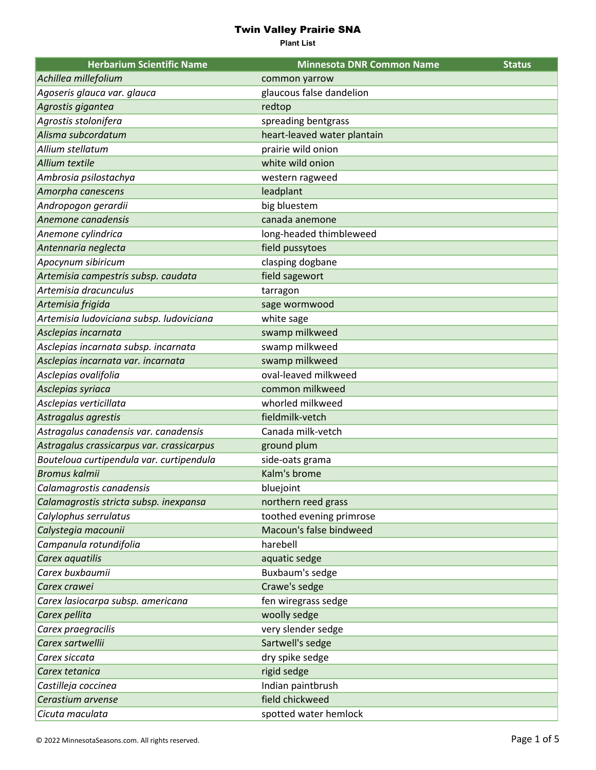| <b>Herbarium Scientific Name</b>          | <b>Minnesota DNR Common Name</b> | <b>Status</b> |
|-------------------------------------------|----------------------------------|---------------|
| Achillea millefolium                      | common yarrow                    |               |
| Agoseris glauca var. glauca               | glaucous false dandelion         |               |
| Agrostis gigantea                         | redtop                           |               |
| Agrostis stolonifera                      | spreading bentgrass              |               |
| Alisma subcordatum                        | heart-leaved water plantain      |               |
| Allium stellatum                          | prairie wild onion               |               |
| Allium textile                            | white wild onion                 |               |
| Ambrosia psilostachya                     | western ragweed                  |               |
| Amorpha canescens                         | leadplant                        |               |
| Andropogon gerardii                       | big bluestem                     |               |
| Anemone canadensis                        | canada anemone                   |               |
| Anemone cylindrica                        | long-headed thimbleweed          |               |
| Antennaria neglecta                       | field pussytoes                  |               |
| Apocynum sibiricum                        | clasping dogbane                 |               |
| Artemisia campestris subsp. caudata       | field sagewort                   |               |
| Artemisia dracunculus                     | tarragon                         |               |
| Artemisia frigida                         | sage wormwood                    |               |
| Artemisia ludoviciana subsp. ludoviciana  | white sage                       |               |
| Asclepias incarnata                       | swamp milkweed                   |               |
| Asclepias incarnata subsp. incarnata      | swamp milkweed                   |               |
| Asclepias incarnata var. incarnata        | swamp milkweed                   |               |
| Asclepias ovalifolia                      | oval-leaved milkweed             |               |
| Asclepias syriaca                         | common milkweed                  |               |
| Asclepias verticillata                    | whorled milkweed                 |               |
| Astragalus agrestis                       | fieldmilk-vetch                  |               |
| Astragalus canadensis var. canadensis     | Canada milk-vetch                |               |
| Astragalus crassicarpus var. crassicarpus | ground plum                      |               |
| Bouteloua curtipendula var. curtipendula  | side-oats grama                  |               |
| <b>Bromus kalmii</b>                      | Kalm's brome                     |               |
| Calamagrostis canadensis                  | bluejoint                        |               |
| Calamagrostis stricta subsp. inexpansa    | northern reed grass              |               |
| Calylophus serrulatus                     | toothed evening primrose         |               |
| Calystegia macounii                       | Macoun's false bindweed          |               |
| Campanula rotundifolia                    | harebell                         |               |
| Carex aquatilis                           | aquatic sedge                    |               |
| Carex buxbaumii                           | Buxbaum's sedge                  |               |
| Carex crawei                              | Crawe's sedge                    |               |
| Carex lasiocarpa subsp. americana         | fen wiregrass sedge              |               |
| Carex pellita                             | woolly sedge                     |               |
| Carex praegracilis                        | very slender sedge               |               |
| Carex sartwellii                          | Sartwell's sedge                 |               |
| Carex siccata                             | dry spike sedge                  |               |
| Carex tetanica                            | rigid sedge                      |               |
| Castilleja coccinea                       | Indian paintbrush                |               |
| Cerastium arvense                         | field chickweed                  |               |
| Cicuta maculata                           | spotted water hemlock            |               |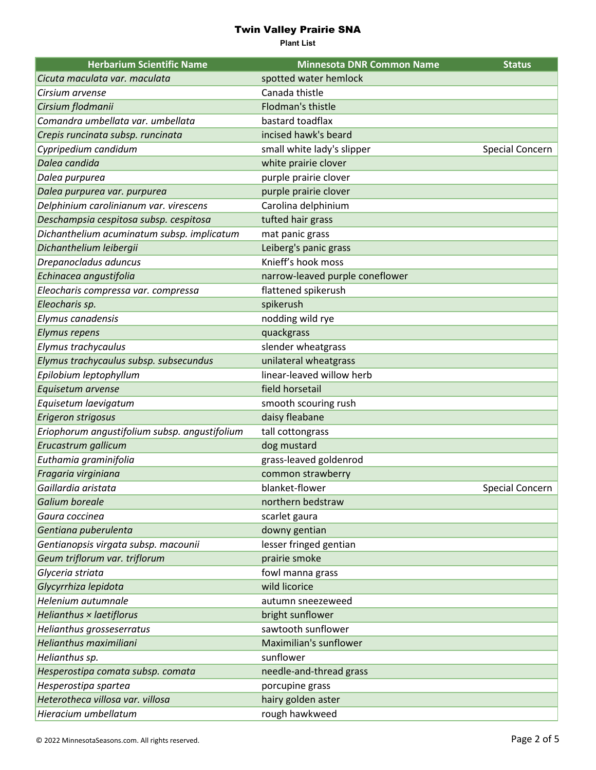| <b>Herbarium Scientific Name</b>              | <b>Minnesota DNR Common Name</b> | <b>Status</b>   |
|-----------------------------------------------|----------------------------------|-----------------|
| Cicuta maculata var. maculata                 | spotted water hemlock            |                 |
| Cirsium arvense                               | Canada thistle                   |                 |
| Cirsium flodmanii                             | Flodman's thistle                |                 |
| Comandra umbellata var. umbellata             | bastard toadflax                 |                 |
| Crepis runcinata subsp. runcinata             | incised hawk's beard             |                 |
| Cypripedium candidum                          | small white lady's slipper       | Special Concern |
| Dalea candida                                 | white prairie clover             |                 |
| Dalea purpurea                                | purple prairie clover            |                 |
| Dalea purpurea var. purpurea                  | purple prairie clover            |                 |
| Delphinium carolinianum var. virescens        | Carolina delphinium              |                 |
| Deschampsia cespitosa subsp. cespitosa        | tufted hair grass                |                 |
| Dichanthelium acuminatum subsp. implicatum    | mat panic grass                  |                 |
| Dichanthelium leibergii                       | Leiberg's panic grass            |                 |
| Drepanocladus aduncus                         | Knieff's hook moss               |                 |
| Echinacea angustifolia                        | narrow-leaved purple coneflower  |                 |
| Eleocharis compressa var. compressa           | flattened spikerush              |                 |
| Eleocharis sp.                                | spikerush                        |                 |
| Elymus canadensis                             | nodding wild rye                 |                 |
| <b>Elymus repens</b>                          | quackgrass                       |                 |
| Elymus trachycaulus                           | slender wheatgrass               |                 |
| Elymus trachycaulus subsp. subsecundus        | unilateral wheatgrass            |                 |
| Epilobium leptophyllum                        | linear-leaved willow herb        |                 |
| Equisetum arvense                             | field horsetail                  |                 |
| Equisetum laevigatum                          | smooth scouring rush             |                 |
| Erigeron strigosus                            | daisy fleabane                   |                 |
| Eriophorum angustifolium subsp. angustifolium | tall cottongrass                 |                 |
| Erucastrum gallicum                           | dog mustard                      |                 |
| Euthamia graminifolia                         | grass-leaved goldenrod           |                 |
| Fragaria virginiana                           | common strawberry                |                 |
| Gaillardia aristata                           | blanket-flower                   | Special Concern |
| Galium boreale                                | northern bedstraw                |                 |
| Gaura coccinea                                | scarlet gaura                    |                 |
| Gentiana puberulenta                          | downy gentian                    |                 |
| Gentianopsis virgata subsp. macounii          | lesser fringed gentian           |                 |
| Geum triflorum var. triflorum                 | prairie smoke                    |                 |
| Glyceria striata                              | fowl manna grass                 |                 |
| Glycyrrhiza lepidota                          | wild licorice                    |                 |
| Helenium autumnale                            | autumn sneezeweed                |                 |
| Helianthus × laetiflorus                      | bright sunflower                 |                 |
| Helianthus grosseserratus                     | sawtooth sunflower               |                 |
| Helianthus maximiliani                        | Maximilian's sunflower           |                 |
| Helianthus sp.                                | sunflower                        |                 |
| Hesperostipa comata subsp. comata             | needle-and-thread grass          |                 |
| Hesperostipa spartea                          | porcupine grass                  |                 |
| Heterotheca villosa var. villosa              | hairy golden aster               |                 |
| Hieracium umbellatum                          | rough hawkweed                   |                 |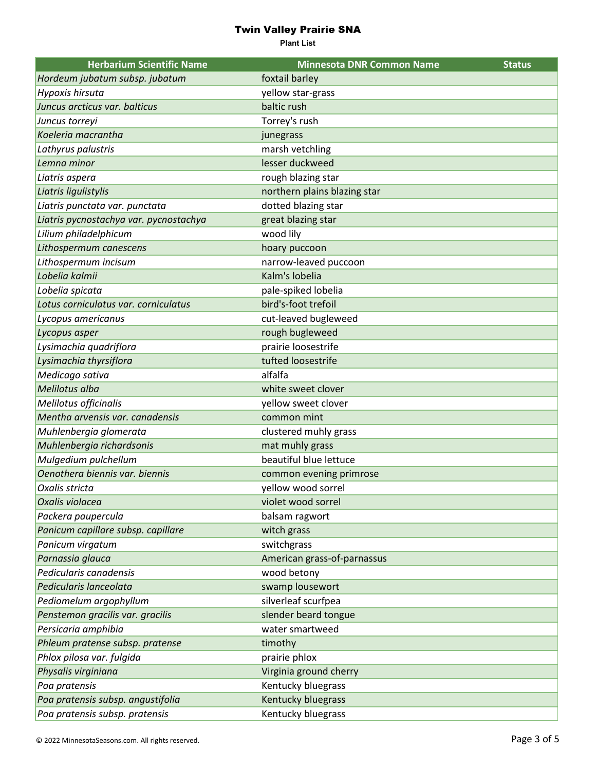| <b>Herbarium Scientific Name</b>       | <b>Minnesota DNR Common Name</b> | <b>Status</b> |
|----------------------------------------|----------------------------------|---------------|
| Hordeum jubatum subsp. jubatum         | foxtail barley                   |               |
| Hypoxis hirsuta                        | yellow star-grass                |               |
| Juncus arcticus var. balticus          | baltic rush                      |               |
| Juncus torreyi                         | Torrey's rush                    |               |
| Koeleria macrantha                     | junegrass                        |               |
| Lathyrus palustris                     | marsh vetchling                  |               |
| Lemna minor                            | lesser duckweed                  |               |
| Liatris aspera                         | rough blazing star               |               |
| Liatris ligulistylis                   | northern plains blazing star     |               |
| Liatris punctata var. punctata         | dotted blazing star              |               |
| Liatris pycnostachya var. pycnostachya | great blazing star               |               |
| Lilium philadelphicum                  | wood lily                        |               |
| Lithospermum canescens                 | hoary puccoon                    |               |
| Lithospermum incisum                   | narrow-leaved puccoon            |               |
| Lobelia kalmii                         | Kalm's lobelia                   |               |
| Lobelia spicata                        | pale-spiked lobelia              |               |
| Lotus corniculatus var. corniculatus   | bird's-foot trefoil              |               |
| Lycopus americanus                     | cut-leaved bugleweed             |               |
| Lycopus asper                          | rough bugleweed                  |               |
| Lysimachia quadriflora                 | prairie loosestrife              |               |
| Lysimachia thyrsiflora                 | tufted loosestrife               |               |
| Medicago sativa                        | alfalfa                          |               |
| Melilotus alba                         | white sweet clover               |               |
| Melilotus officinalis                  | yellow sweet clover              |               |
| Mentha arvensis var. canadensis        | common mint                      |               |
| Muhlenbergia glomerata                 | clustered muhly grass            |               |
| Muhlenbergia richardsonis              | mat muhly grass                  |               |
| Mulgedium pulchellum                   | beautiful blue lettuce           |               |
| Oenothera biennis var. biennis         | common evening primrose          |               |
| Oxalis stricta                         | yellow wood sorrel               |               |
| Oxalis violacea                        | violet wood sorrel               |               |
| Packera paupercula                     | balsam ragwort                   |               |
| Panicum capillare subsp. capillare     | witch grass                      |               |
| Panicum virgatum                       | switchgrass                      |               |
| Parnassia glauca                       | American grass-of-parnassus      |               |
| Pedicularis canadensis                 | wood betony                      |               |
| Pedicularis lanceolata                 | swamp lousewort                  |               |
| Pediomelum argophyllum                 | silverleaf scurfpea              |               |
| Penstemon gracilis var. gracilis       | slender beard tongue             |               |
| Persicaria amphibia                    | water smartweed                  |               |
| Phleum pratense subsp. pratense        | timothy                          |               |
| Phlox pilosa var. fulgida              | prairie phlox                    |               |
| Physalis virginiana                    | Virginia ground cherry           |               |
| Poa pratensis                          | Kentucky bluegrass               |               |
| Poa pratensis subsp. angustifolia      | Kentucky bluegrass               |               |
| Poa pratensis subsp. pratensis         | Kentucky bluegrass               |               |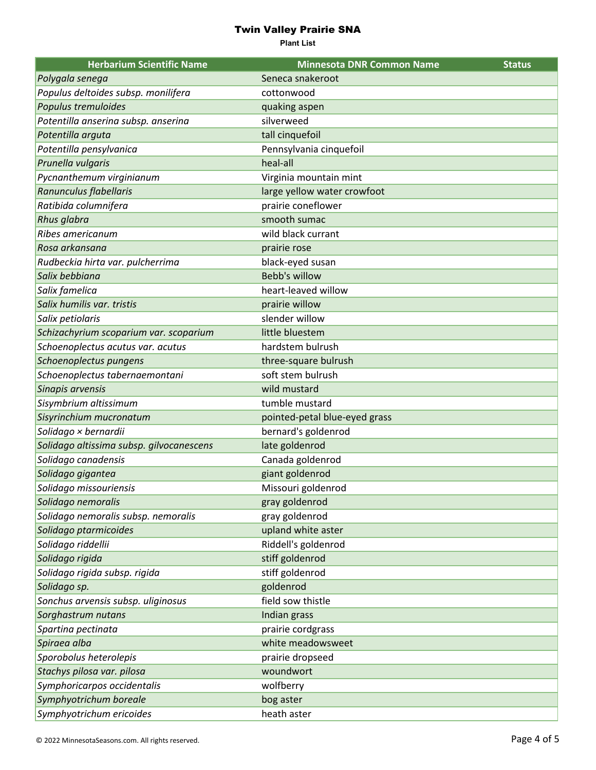| <b>Herbarium Scientific Name</b>         | <b>Minnesota DNR Common Name</b> | <b>Status</b> |
|------------------------------------------|----------------------------------|---------------|
| Polygala senega                          | Seneca snakeroot                 |               |
| Populus deltoides subsp. monilifera      | cottonwood                       |               |
| Populus tremuloides                      | quaking aspen                    |               |
| Potentilla anserina subsp. anserina      | silverweed                       |               |
| Potentilla arguta                        | tall cinquefoil                  |               |
| Potentilla pensylvanica                  | Pennsylvania cinquefoil          |               |
| Prunella vulgaris                        | heal-all                         |               |
| Pycnanthemum virginianum                 | Virginia mountain mint           |               |
| Ranunculus flabellaris                   | large yellow water crowfoot      |               |
| Ratibida columnifera                     | prairie coneflower               |               |
| <b>Rhus glabra</b>                       | smooth sumac                     |               |
| Ribes americanum                         | wild black currant               |               |
| Rosa arkansana                           | prairie rose                     |               |
| Rudbeckia hirta var. pulcherrima         | black-eyed susan                 |               |
| Salix bebbiana                           | Bebb's willow                    |               |
| Salix famelica                           | heart-leaved willow              |               |
| Salix humilis var. tristis               | prairie willow                   |               |
| Salix petiolaris                         | slender willow                   |               |
| Schizachyrium scoparium var. scoparium   | little bluestem                  |               |
| Schoenoplectus acutus var. acutus        | hardstem bulrush                 |               |
| Schoenoplectus pungens                   | three-square bulrush             |               |
| Schoenoplectus tabernaemontani           | soft stem bulrush                |               |
| Sinapis arvensis                         | wild mustard                     |               |
| Sisymbrium altissimum                    | tumble mustard                   |               |
| Sisyrinchium mucronatum                  | pointed-petal blue-eyed grass    |               |
| Solidago × bernardii                     | bernard's goldenrod              |               |
| Solidago altissima subsp. gilvocanescens | late goldenrod                   |               |
| Solidago canadensis                      | Canada goldenrod                 |               |
| Solidago gigantea                        | giant goldenrod                  |               |
| Solidago missouriensis                   | Missouri goldenrod               |               |
| Solidago nemoralis                       | gray goldenrod                   |               |
| Solidago nemoralis subsp. nemoralis      | gray goldenrod                   |               |
| Solidago ptarmicoides                    | upland white aster               |               |
| Solidago riddellii                       | Riddell's goldenrod              |               |
| Solidago rigida                          | stiff goldenrod                  |               |
| Solidago rigida subsp. rigida            | stiff goldenrod                  |               |
| Solidago sp.                             | goldenrod                        |               |
| Sonchus arvensis subsp. uliginosus       | field sow thistle                |               |
| Sorghastrum nutans                       | Indian grass                     |               |
| Spartina pectinata                       | prairie cordgrass                |               |
| Spiraea alba                             | white meadowsweet                |               |
| Sporobolus heterolepis                   | prairie dropseed                 |               |
| Stachys pilosa var. pilosa               | woundwort                        |               |
| Symphoricarpos occidentalis              | wolfberry                        |               |
| Symphyotrichum boreale                   | bog aster                        |               |
| Symphyotrichum ericoides                 | heath aster                      |               |